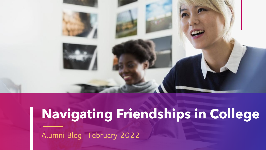

## **Navigating Friendships in College**

**Alumni Blog- February 2022**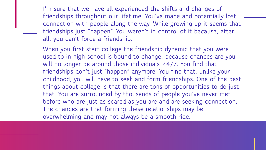**I'm sure that we have all experienced the shifts and changes of friendships throughout our lifetime. You've made and potentially lost connection with people along the way. While growing up it seems that friendships just "happen". You weren't in control of it because, after all, you can't force a friendship.**

**When you first start college the friendship dynamic that you were used to in high school is bound to change, because chances are you will no longer be around those individuals 24/7. You find that friendships don't just "happen" anymore. You find that, unlike your childhood, you will have to seek and form friendships. One of the best things about college is that there are tons of opportunities to do just that. You are surrounded by thousands of people you've never met before who are just as scared as you are and are seeking connection. The chances are that forming these relationships may be overwhelming and may not always be a smooth ride.**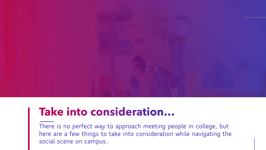

## Take into consideration...

**There is no perfect way to approach meeting people in college, but here are a few things to take into consideration while navigating the social scene on campus..**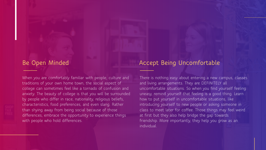#### **Be Open Minded**

When you are comfortably familiar with people, culture and traditions of your own home town, the social aspect of college can sometimes feel like a tornado of confusion and anxiety. The beauty of college is that you will be surrounded by people who differ in race, nationality, religious beliefs, characteristics, food preferences, and even slang. Rather than shying away from being social because of those differences, embrace the opportunity to experience things with people who hold differences.

### **Accept Being Uncomfortable**

There is nothing easy about entering a new campus, classes and living arrangements. They are DEFINITELY all uncomfortable situations. So when you find yourself feeling uneasy, remind yourself that feeling is a good thing. Learn how to put yourself in uncomfortable situations, like introducing yourself to new people or asking someone in class to meet later for coffee. Those things may feel weird at first but they also help bridge the gap towards friendship. More importantly, they help you grow as an individual.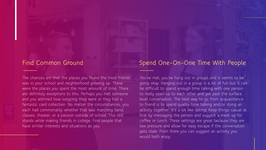#### **Find Common Ground**

The chances are that the places you found the most friends was in your school and neighborhood growing up. These were the places you spent the most amount of time. There are definitely exceptions to this. Perhaps you met someone and you admired how outgoing they were or they had a fantastic card collection. No matter the circumstances, you each had commonality whether that was marching band, classes, theater, or a passion outside of school. This still stands while making friends in college. Find people that have similar interests and situations as you.

#### **Spend One-On-One Time With People**

You've met, you've hung out in groups…and it seems to be going okay. Hanging out in a group is a lot of fun but it can be difficult to spend enough time talking with one person to really open up to each other and get past the surface level conversation. The best way to go from acquaintance to friend is to spend quality time talking and/or doing an activity together. It's a lot like dating! Keep things casual at first by messaging the person and suggest a meet up for coffee or lunch. These settings are great because they are low pressure and allow for easy escape if the conversation gets stale. From there you can suggest an activity you would both enjoy.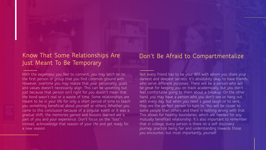### **Know That Some Relationships Are Just Meant To Be Temporary**

With the eagerness you feel to connect, you may latch on to the first person or group that you find common ground with. However, overtime you may realize that your personality, goals and values doesn't necessarily align. This can be upsetting but just because that person isn't right for you doesn't mean that the bond wasn't real or a waste of time. Some relationships are meant to be in your life for only a short period of time to teach you something beneficial about yourself or others. Whether you came to this conclusion because of a singular event or it was a gradual shift, the memories gained and lessons learned are a part of you and your experience. Don't focus on the "loss" instead, acknowledge that season of your life and get ready for a new season.

#### Not every friend has to be your BFF with whom you share your darkest and deepest secrets. It's absolutely okay to have friends who serve different purposes. There will be a person who will be great for keeping you on track academically, but you don't feel comfortable going to them about a breakup. On the other hand, you may have a person who you don't see or hang out with every day, but when you need a good laugh or to vent, they are the perfect person to turn to. You will be closer to some people than others and there is nothing wrong with that. This allows for healthy boundaries, which are needed for any

**Don't Be Afraid to Compartmentalize**

mutually benefited relationship. It's also important to remember that in college, every person is there on a self discovery journey, practice being fair and understanding towards those you encounter, but most importantly, yourself.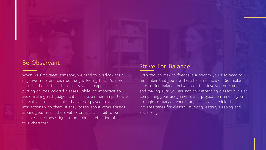#### **Be Observant**

When we first meet someone, we tend to overlook their negative traits and dismiss the gut feeling that it's a red flag. The hopes that these traits won't reappear is like putting on rose colored glasses. While it's important to avoid making rash judgements, it is even more important to be vigil about their habits that are displayed in your interactions with them. If they gossip about other friends around you, treat others with disrespect, or fail to be reliable, take these signs to be a direct reflection of their true character.

#### **Strive For Balance**

Even though making friends is a priority you also need to remember that you are there for an education. So, make sure to find balance between getting involved on campus and making sure you are not only attending classes but also completing your assignments and projects on time. If you struggle to manage your time, set up a schedule that includes times for classes, studying, eating, sleeping and socializing.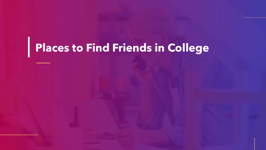## **Places to Find Friends in College**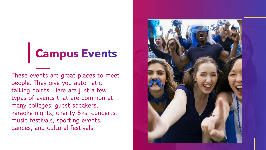## **Campus Events**

**These events are great places to meet people. They give you automatic talking points. Here are just a few types of events that are common at many colleges: guest speakers, karaoke nights, charity 5ks, concerts, music festivals, sporting events, dances, and cultural festivals.** 

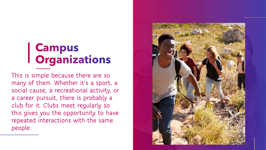# | Campus<br>| Organizations

**This is simple because there are so many of them. Whether it's a sport, a social cause, a recreational activity, or a career pursuit, there is probably a club for it. Clubs meet regularly so this gives you the opportunity to have repeated interactions with the same people.** 

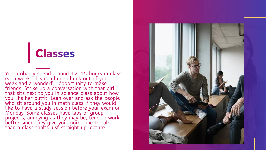## Classes

**You probably spend around 12-15 hours in class each week. This is a huge chunk out of your week and a wonderful opportunity to make friends. Strike up a conversation with that girl that sits next to you in science class about how you like her outfit. Lean over and ask the people who sit around you in math class if they would like to have a study session before your exam on Monday. Some classes have labs or group projects, annoying as they may be, tend to work better since they give you more time to talk than a class that's just straight up lecture.** 

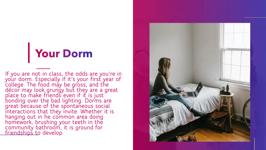## **Your Dorm**

**If you are not in class, the odds are you're in your dorm. Especially if it's your first year of college. The food may be gross, and the décor may look grungy but they are a great place to make friends even if it is just bonding over the bad lighting. Dorms are great because of the spontaneous social interactions that they invite. Whether it is hanging out in he common area doing homework, brushing your teeth in the community bathroom, it is ground for friendships to develop.** 

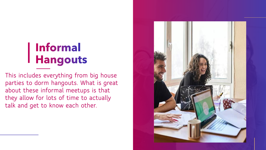## **Informal Hangouts**

**This includes everything from big house parties to dorm hangouts. What is great about these informal meetups is that they allow for lots of time to actually talk and get to know each other.** 

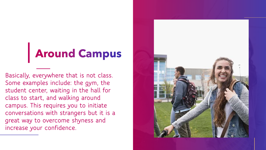## **Around Campus**

**Basically, everywhere that is not class. Some examples include: the gym, the student center, waiting in the hall for class to start, and walking around campus. This requires you to initiate conversations with strangers but it is a great way to overcome shyness and increase your confidence.** 

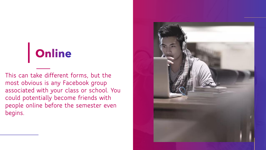## Online

**This can take different forms, but the most obvious is any Facebook group associated with your class or school. You could potentially become friends with people online before the semester even begins.** 

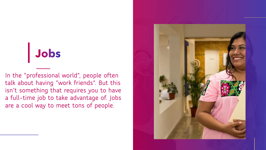## Jobs

**In the "professional world", people often talk about having "work friends". But this isn't something that requires you to have a full-time job to take advantage of. Jobs are a cool way to meet tons of people.**

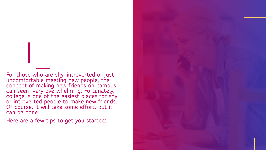**For those who are shy, introverted or just uncomfortable meeting new people, the concept of making new friends on campus can seem very overwhelming. Fortunately, college is one of the easiest places for shy or introverted people to make new friends. Of course, it will take some effort, but it can be done.** 

**Here are a few tips to get you started:**

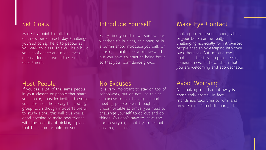Make it a point to talk to at least one new person each day. Challenge yourself to say hello to people as you walk to class. This will help build your confidence and might even open a door or two in the friendship department.

If you see a lot of the same people in your classes or people that share your major, consider inviting them to your dorm or the library for a study group. Even though introverts prefer to study alone, this will give you a good opening to make new friends with the security of picking a place that feels comfortable for you.

Every time you sit down somewhere, whether it's in class, at dinner, or in a coffee shop, introduce yourself. Of course, it might feel a bit awkward but you have to practice being brave so that your confidence grows.

### **Set Goals Introduce Yourself Make Eye Contact**

Looking up from your phone, tablet, or your book can be really challenging especially for introverted people that enjoy escaping into their own thoughts. But, making eye contact is the first step in meeting someone new. It shows them that you are welcoming and approachable.

It is very important to stay on top of schoolwork, but do not use this as an excuse to avoid going out and meeting people. Even though it is uncomfortable at times, you need to challenge yourself to go out and do things. You don't have to leave the dorm every night but try to get out on a regular basis.

### **Host People No Excuses Avoid Worrying**

Not making friends right away is completely normal. In fact, friendships take time to form and grow. So, don't feel discouraged.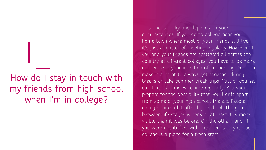**How do I stay in touch with my friends from high school when I'm in college?**

This one is tricky and depends on your circumstances. If you go to college near your home town where most of your friends still live, it's just a matter of meeting regularly. However, if you and your friends are scattered all across the country at different colleges, you have to be more deliberate in your intention of connecting. You can make it a point to always get together during breaks or take summer break trips. You, of course, can text, call and FaceTime regularly. You should prepare for the possibility that you'll drift apart from some of your high school friends. People change quite a bit after high school. The gap between life stages widens or at least it is more visible than it was before. On the other hand, if you were unsatisfied with the friendship you had, college is a place for a fresh start.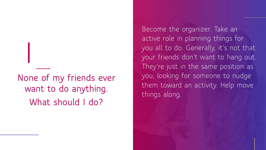**None of my friends ever want to do anything. What should I do?**

Become the organizer. Take an active role in planning things for you all to do. Generally, it's not that your friends don't want to hang out. They're just in the same position as you, looking for someone to nudge them toward an activity. Help move things along.